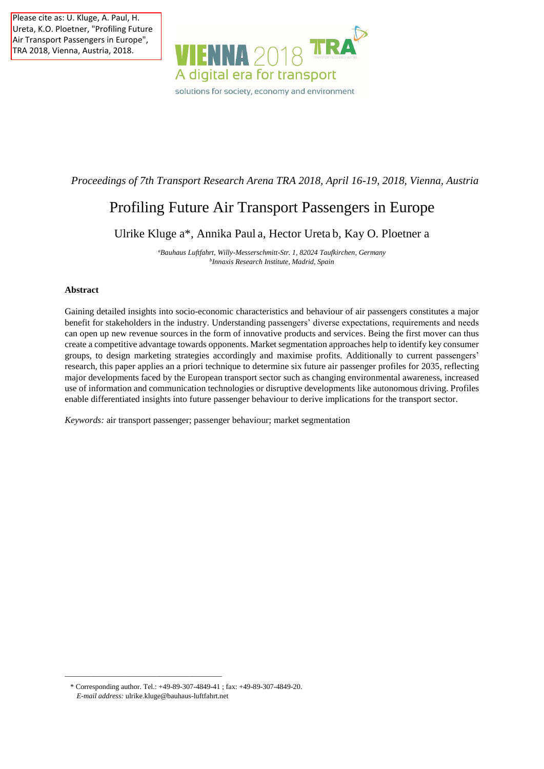Please cite as: U. Kluge, A. Paul, H. Ureta, K.O. Ploetner, "Profiling Future Air Transport Passengers in Europe", TRA 2018, Vienna, Austria, 2018.



# *Proceedings of 7th Transport Research Arena TRA 2018, April 16-19, 2018, Vienna, Austria*

# Profiling Future Air Transport Passengers in Europe

Ulrike Kluge a\*, Annika Paul a, Hector Ureta b, Kay O. Ploetner a

*<sup>a</sup>Bauhaus Luftfahrt, Willy-Messerschmitt-Str. 1, 82024 Taufkirchen, Germany b Innaxis Research Institute, Madrid, Spain*

# **Abstract**

Gaining detailed insights into socio-economic characteristics and behaviour of air passengers constitutes a major benefit for stakeholders in the industry. Understanding passengers' diverse expectations, requirements and needs can open up new revenue sources in the form of innovative products and services. Being the first mover can thus create a competitive advantage towards opponents. Market segmentation approaches help to identify key consumer groups, to design marketing strategies accordingly and maximise profits. Additionally to current passengers' research, this paper applies an a priori technique to determine six future air passenger profiles for 2035, reflecting major developments faced by the European transport sector such as changing environmental awareness, increased use of information and communication technologies or disruptive developments like autonomous driving. Profiles enable differentiated insights into future passenger behaviour to derive implications for the transport sector.

*Keywords:* air transport passenger; passenger behaviour; market segmentation

\_\_\_\_\_\_\_\_\_\_\_\_\_\_\_\_\_\_\_\_\_\_\_\_\_\_\_\_\_\_\_\_\_\_\_\_\_\_\_\_\_\_\_

<sup>\*</sup> Corresponding author. Tel.: +49-89-307-4849-41 ; fax: +49-89-307-4849-20. *E-mail address:* [ulrike.kluge@bauhaus-luftfahrt.net](mailto:ulrike.kluge@bauhaus-luftfahrt.net)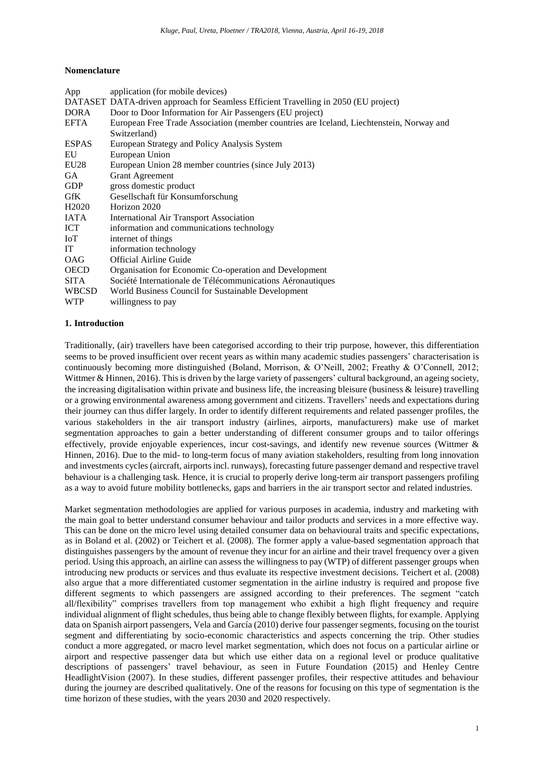# **Nomenclature**

| App                | application (for mobile devices)                                                         |
|--------------------|------------------------------------------------------------------------------------------|
|                    | DATASET DATA-driven approach for Seamless Efficient Travelling in 2050 (EU project)      |
| DORA               | Door to Door Information for Air Passengers (EU project)                                 |
| EFTA               | European Free Trade Association (member countries are Iceland, Liechtenstein, Norway and |
|                    | Switzerland)                                                                             |
| <b>ESPAS</b>       | European Strategy and Policy Analysis System                                             |
| EU                 | European Union                                                                           |
| EU28               | European Union 28 member countries (since July 2013)                                     |
| GA.                | <b>Grant Agreement</b>                                                                   |
| <b>GDP</b>         | gross domestic product                                                                   |
| GfK                | Gesellschaft für Konsumforschung                                                         |
| H <sub>2</sub> 020 | Horizon 2020                                                                             |
| <b>IATA</b>        | <b>International Air Transport Association</b>                                           |
| ICT                | information and communications technology                                                |
| IoT                | internet of things                                                                       |
| IT                 | information technology                                                                   |
| <b>OAG</b>         | <b>Official Airline Guide</b>                                                            |
| <b>OECD</b>        | Organisation for Economic Co-operation and Development                                   |
| <b>SITA</b>        | Société Internationale de Télécommunications Aéronautiques                               |
| <b>WBCSD</b>       | World Business Council for Sustainable Development                                       |
| <b>WTP</b>         | willingness to pay                                                                       |

# **1. Introduction**

Traditionally, (air) travellers have been categorised according to their trip purpose, however, this differentiation seems to be proved insufficient over recent years as within many academic studies passengers' characterisation is continuously becoming more distinguished (Boland, Morrison, & O'Neill, 2002; Freathy & O'Connell, 2012; Wittmer & Hinnen, 2016). This is driven by the large variety of passengers' cultural background, an ageing society, the increasing digitalisation within private and business life, the increasing bleisure (business  $\&$  leisure) travelling or a growing environmental awareness among government and citizens. Travellers' needs and expectations during their journey can thus differ largely. In order to identify different requirements and related passenger profiles, the various stakeholders in the air transport industry (airlines, airports, manufacturers) make use of market segmentation approaches to gain a better understanding of different consumer groups and to tailor offerings effectively, provide enjoyable experiences, incur cost-savings, and identify new revenue sources (Wittmer & Hinnen, 2016). Due to the mid- to long-term focus of many aviation stakeholders, resulting from long innovation and investments cycles (aircraft, airports incl. runways), forecasting future passenger demand and respective travel behaviour is a challenging task. Hence, it is crucial to properly derive long-term air transport passengers profiling as a way to avoid future mobility bottlenecks, gaps and barriers in the air transport sector and related industries.

Market segmentation methodologies are applied for various purposes in academia, industry and marketing with the main goal to better understand consumer behaviour and tailor products and services in a more effective way. This can be done on the micro level using detailed consumer data on behavioural traits and specific expectations, as in Boland et al. (2002) or Teichert et al. (2008). The former apply a value-based segmentation approach that distinguishes passengers by the amount of revenue they incur for an airline and their travel frequency over a given period. Using this approach, an airline can assess the willingness to pay (WTP) of different passenger groups when introducing new products or services and thus evaluate its respective investment decisions. Teichert et al. (2008) also argue that a more differentiated customer segmentation in the airline industry is required and propose five different segments to which passengers are assigned according to their preferences. The segment "catch all/flexibility" comprises travellers from top management who exhibit a high flight frequency and require individual alignment of flight schedules, thus being able to change flexibly between flights, for example. Applying data on Spanish airport passengers, Vela and García (2010) derive four passenger segments, focusing on the tourist segment and differentiating by socio-economic characteristics and aspects concerning the trip. Other studies conduct a more aggregated, or macro level market segmentation, which does not focus on a particular airline or airport and respective passenger data but which use either data on a regional level or produce qualitative descriptions of passengers' travel behaviour, as seen in Future Foundation (2015) and Henley Centre HeadlightVision (2007). In these studies, different passenger profiles, their respective attitudes and behaviour during the journey are described qualitatively. One of the reasons for focusing on this type of segmentation is the time horizon of these studies, with the years 2030 and 2020 respectively.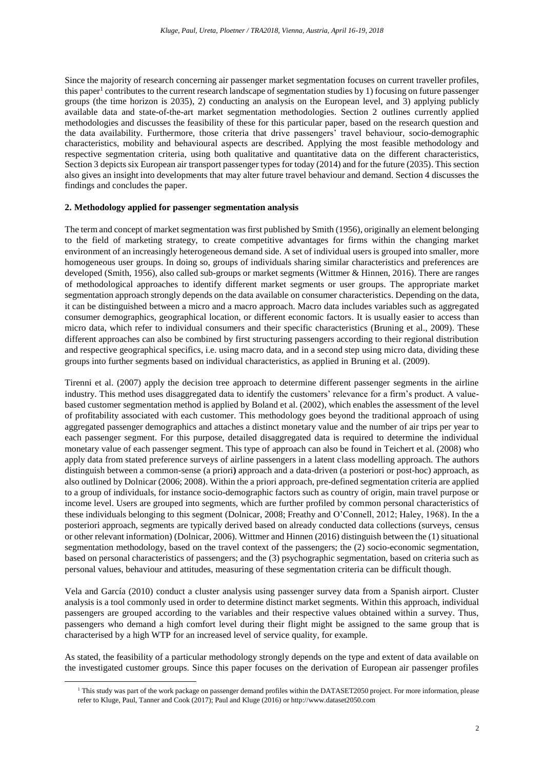Since the majority of research concerning air passenger market segmentation focuses on current traveller profiles, this paper<sup>1</sup> contributes to the current research landscape of segmentation studies by 1) focusing on future passenger groups (the time horizon is 2035), 2) conducting an analysis on the European level, and 3) applying publicly available data and state-of-the-art market segmentation methodologies. Section 2 outlines currently applied methodologies and discusses the feasibility of these for this particular paper, based on the research question and the data availability. Furthermore, those criteria that drive passengers' travel behaviour, socio-demographic characteristics, mobility and behavioural aspects are described. Applying the most feasible methodology and respective segmentation criteria, using both qualitative and quantitative data on the different characteristics, Section 3 depicts six European air transport passenger types for today (2014) and for the future (2035). This section also gives an insight into developments that may alter future travel behaviour and demand. Section 4 discusses the findings and concludes the paper.

# **2. Methodology applied for passenger segmentation analysis**

The term and concept of market segmentation was first published by Smith (1956), originally an element belonging to the field of marketing strategy, to create competitive advantages for firms within the changing market environment of an increasingly heterogeneous demand side. A set of individual users is grouped into smaller, more homogeneous user groups. In doing so, groups of individuals sharing similar characteristics and preferences are developed (Smith, 1956), also called sub-groups or market segments (Wittmer & Hinnen, 2016). There are ranges of methodological approaches to identify different market segments or user groups. The appropriate market segmentation approach strongly depends on the data available on consumer characteristics. Depending on the data, it can be distinguished between a micro and a macro approach. Macro data includes variables such as aggregated consumer demographics, geographical location, or different economic factors. It is usually easier to access than micro data, which refer to individual consumers and their specific characteristics (Bruning et al., 2009). These different approaches can also be combined by first structuring passengers according to their regional distribution and respective geographical specifics, i.e. using macro data, and in a second step using micro data, dividing these groups into further segments based on individual characteristics, as applied in Bruning et al. (2009).

Tirenni et al. (2007) apply the decision tree approach to determine different passenger segments in the airline industry. This method uses disaggregated data to identify the customers' relevance for a firm's product. A valuebased customer segmentation method is applied by Boland et al. (2002), which enables the assessment of the level of profitability associated with each customer. This methodology goes beyond the traditional approach of using aggregated passenger demographics and attaches a distinct monetary value and the number of air trips per year to each passenger segment. For this purpose, detailed disaggregated data is required to determine the individual monetary value of each passenger segment. This type of approach can also be found in Teichert et al. (2008) who apply data from stated preference surveys of airline passengers in a latent class modelling approach. The authors distinguish between a common-sense (a priori**)** approach and a data-driven (a posteriori or post-hoc) approach, as also outlined by Dolnicar (2006; 2008). Within the a priori approach, pre-defined segmentation criteria are applied to a group of individuals, for instance socio-demographic factors such as country of origin, main travel purpose or income level. Users are grouped into segments, which are further profiled by common personal characteristics of these individuals belonging to this segment (Dolnicar, 2008; Freathy and O'Connell, 2012; Haley, 1968). In the a posteriori approach, segments are typically derived based on already conducted data collections (surveys, census or other relevant information) (Dolnicar, 2006). Wittmer and Hinnen (2016) distinguish between the (1) situational segmentation methodology, based on the travel context of the passengers; the (2) socio-economic segmentation, based on personal characteristics of passengers; and the (3) psychographic segmentation, based on criteria such as personal values, behaviour and attitudes, measuring of these segmentation criteria can be difficult though.

Vela and García (2010) conduct a cluster analysis using passenger survey data from a Spanish airport. Cluster analysis is a tool commonly used in order to determine distinct market segments. Within this approach, individual passengers are grouped according to the variables and their respective values obtained within a survey. Thus, passengers who demand a high comfort level during their flight might be assigned to the same group that is characterised by a high WTP for an increased level of service quality, for example.

As stated, the feasibility of a particular methodology strongly depends on the type and extent of data available on the investigated customer groups. Since this paper focuses on the derivation of European air passenger profiles

 $\overline{a}$ 

<sup>&</sup>lt;sup>1</sup> This study was part of the work package on passenger demand profiles within the DATASET2050 project. For more information, please refer to Kluge, Paul, Tanner and Cook (2017); Paul and Kluge (2016) o[r http://www.dataset2050.com](http://www.dataset2050.com/)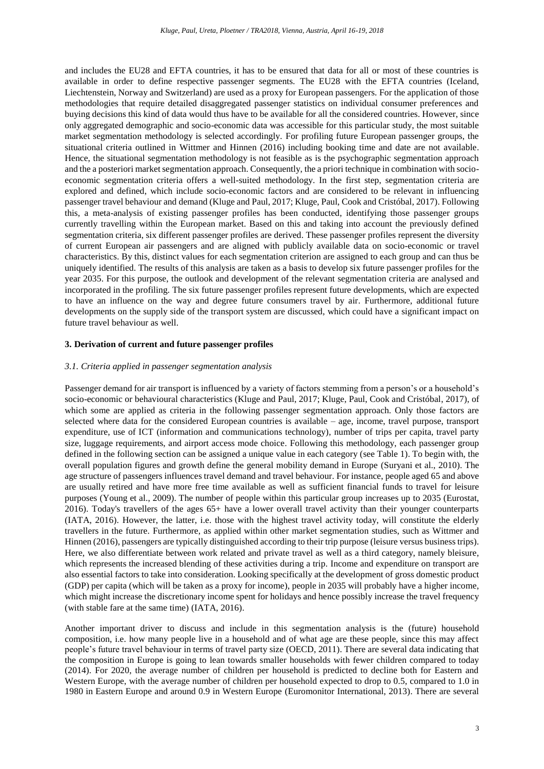and includes the EU28 and EFTA countries, it has to be ensured that data for all or most of these countries is available in order to define respective passenger segments. The EU28 with the EFTA countries (Iceland, Liechtenstein, Norway and Switzerland) are used as a proxy for European passengers. For the application of those methodologies that require detailed disaggregated passenger statistics on individual consumer preferences and buying decisions this kind of data would thus have to be available for all the considered countries. However, since only aggregated demographic and socio-economic data was accessible for this particular study, the most suitable market segmentation methodology is selected accordingly. For profiling future European passenger groups, the situational criteria outlined in Wittmer and Hinnen (2016) including booking time and date are not available. Hence, the situational segmentation methodology is not feasible as is the psychographic segmentation approach and the a posteriori market segmentation approach. Consequently, the a priori technique in combination with socioeconomic segmentation criteria offers a well-suited methodology. In the first step, segmentation criteria are explored and defined, which include socio-economic factors and are considered to be relevant in influencing passenger travel behaviour and demand (Kluge and Paul, 2017; Kluge, Paul, Cook and Cristóbal, 2017). Following this, a meta-analysis of existing passenger profiles has been conducted, identifying those passenger groups currently travelling within the European market. Based on this and taking into account the previously defined segmentation criteria, six different passenger profiles are derived. These passenger profiles represent the diversity of current European air passengers and are aligned with publicly available data on socio-economic or travel characteristics. By this, distinct values for each segmentation criterion are assigned to each group and can thus be uniquely identified. The results of this analysis are taken as a basis to develop six future passenger profiles for the year 2035. For this purpose, the outlook and development of the relevant segmentation criteria are analysed and incorporated in the profiling. The six future passenger profiles represent future developments, which are expected to have an influence on the way and degree future consumers travel by air. Furthermore, additional future developments on the supply side of the transport system are discussed, which could have a significant impact on future travel behaviour as well.

### **3. Derivation of current and future passenger profiles**

# *3.1. Criteria applied in passenger segmentation analysis*

Passenger demand for air transport is influenced by a variety of factors stemming from a person's or a household's socio-economic or behavioural characteristics (Kluge and Paul, 2017; Kluge, Paul, Cook and Cristóbal, 2017), of which some are applied as criteria in the following passenger segmentation approach. Only those factors are selected where data for the considered European countries is available – age, income, travel purpose, transport expenditure, use of ICT (information and communications technology), number of trips per capita, travel party size, luggage requirements, and airport access mode choice. Following this methodology, each passenger group defined in the following section can be assigned a unique value in each category (see Table 1). To begin with, the overall population figures and growth define the general mobility demand in Europe (Suryani et al., 2010). The age structure of passengers influences travel demand and travel behaviour. For instance, people aged 65 and above are usually retired and have more free time available as well as sufficient financial funds to travel for leisure purposes (Young et al., 2009). The number of people within this particular group increases up to 2035 (Eurostat, 2016). Today's travellers of the ages 65+ have a lower overall travel activity than their younger counterparts (IATA, 2016). However, the latter, i.e. those with the highest travel activity today, will constitute the elderly travellers in the future. Furthermore, as applied within other market segmentation studies, such as Wittmer and Hinnen (2016), passengers are typically distinguished according to their trip purpose (leisure versus business trips). Here, we also differentiate between work related and private travel as well as a third category, namely bleisure, which represents the increased blending of these activities during a trip. Income and expenditure on transport are also essential factors to take into consideration. Looking specifically at the development of gross domestic product (GDP) per capita (which will be taken as a proxy for income), people in 2035 will probably have a higher income, which might increase the discretionary income spent for holidays and hence possibly increase the travel frequency (with stable fare at the same time) (IATA, 2016).

Another important driver to discuss and include in this segmentation analysis is the (future) household composition, i.e. how many people live in a household and of what age are these people, since this may affect people's future travel behaviour in terms of travel party size (OECD, 2011). There are several data indicating that the composition in Europe is going to lean towards smaller households with fewer children compared to today (2014). For 2020, the average number of children per household is predicted to decline both for Eastern and Western Europe, with the average number of children per household expected to drop to 0.5, compared to 1.0 in 1980 in Eastern Europe and around 0.9 in Western Europe (Euromonitor International, 2013). There are several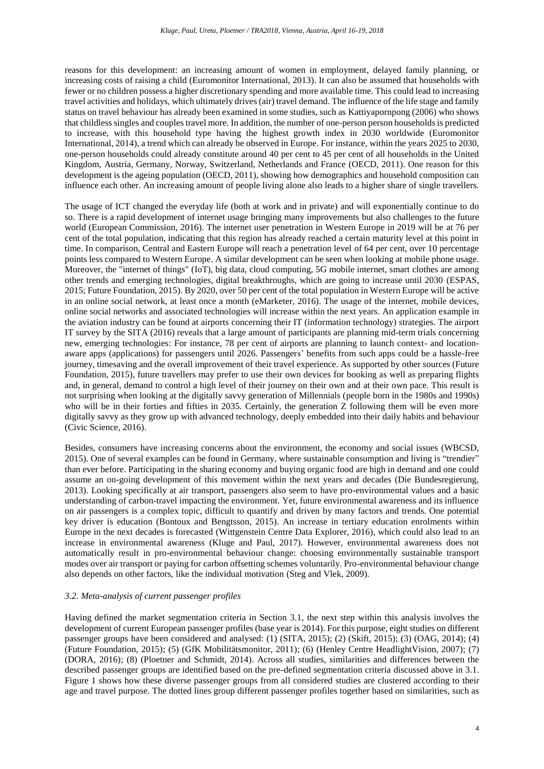reasons for this development: an increasing amount of women in employment, delayed family planning, or increasing costs of raising a child (Euromonitor International, 2013). It can also be assumed that households with fewer or no children possess a higher discretionary spending and more available time. This could lead to increasing travel activities and holidays, which ultimately drives(air) travel demand. The influence of the life stage and family status on travel behaviour has already been examined in some studies, such as Kattiyapornpong (2006) who shows that childless singles and couples travel more. In addition, the number of one-person person households is predicted to increase, with this household type having the highest growth index in 2030 worldwide (Euromonitor International, 2014), a trend which can already be observed in Europe. For instance, within the years 2025 to 2030, one-person households could already constitute around 40 per cent to 45 per cent of all households in the United Kingdom, Austria, Germany, Norway, Switzerland, Netherlands and France (OECD, 2011). One reason for this development is the ageing population (OECD, 2011), showing how demographics and household composition can influence each other. An increasing amount of people living alone also leads to a higher share of single travellers.

The usage of ICT changed the everyday life (both at work and in private) and will exponentially continue to do so. There is a rapid development of internet usage bringing many improvements but also challenges to the future world (European Commission, 2016). The internet user penetration in Western Europe in 2019 will be at 76 per cent of the total population, indicating that this region has already reached a certain maturity level at this point in time. In comparison, Central and Eastern Europe will reach a penetration level of 64 per cent, over 10 percentage points less compared to Western Europe. A similar development can be seen when looking at mobile phone usage. Moreover, the "internet of things" (IoT), big data, cloud computing, 5G mobile internet, smart clothes are among other trends and emerging technologies, digital breakthroughs, which are going to increase until 2030 (ESPAS, 2015; Future Foundation, 2015). By 2020, over 50 per cent of the total population in Western Europe will be active in an online social network, at least once a month (eMarketer, 2016). The usage of the internet, mobile devices, online social networks and associated technologies will increase within the next years. An application example in the aviation industry can be found at airports concerning their IT (information technology) strategies. The airport IT survey by the SITA (2016) reveals that a large amount of participants are planning mid-term trials concerning new, emerging technologies: For instance, 78 per cent of airports are planning to launch context- and locationaware apps (applications) for passengers until 2026. Passengers' benefits from such apps could be a hassle-free journey, timesaving and the overall improvement of their travel experience. As supported by other sources (Future Foundation, 2015), future travellers may prefer to use their own devices for booking as well as preparing flights and, in general, demand to control a high level of their journey on their own and at their own pace. This result is not surprising when looking at the digitally savvy generation of Millennials (people born in the 1980s and 1990s) who will be in their forties and fifties in 2035. Certainly, the generation Z following them will be even more digitally savvy as they grow up with advanced technology, deeply embedded into their daily habits and behaviour (Civic Science, 2016).

Besides, consumers have increasing concerns about the environment, the economy and social issues (WBCSD, 2015). One of several examples can be found in Germany, where sustainable consumption and living is "trendier" than ever before. Participating in the sharing economy and buying organic food are high in demand and one could assume an on-going development of this movement within the next years and decades (Die Bundesregierung, 2013). Looking specifically at air transport, passengers also seem to have pro-environmental values and a basic understanding of carbon-travel impacting the environment. Yet, future environmental awareness and its influence on air passengers is a complex topic, difficult to quantify and driven by many factors and trends. One potential key driver is education (Bontoux and Bengtsson, 2015). An increase in tertiary education enrolments within Europe in the next decades is forecasted (Wittgenstein Centre Data Explorer, 2016), which could also lead to an increase in environmental awareness (Kluge and Paul, 2017). However, environmental awareness does not automatically result in pro-environmental behaviour change: choosing environmentally sustainable transport modes over air transport or paying for carbon offsetting schemes voluntarily. Pro-environmental behaviour change also depends on other factors, like the individual motivation (Steg and Vlek, 2009).

# *3.2. Meta-analysis of current passenger profiles*

Having defined the market segmentation criteria in Section 3.1, the next step within this analysis involves the development of current European passenger profiles (base year is 2014). For this purpose, eight studies on different passenger groups have been considered and analysed: (1) (SITA, 2015); (2) (Skift, 2015); (3) (OAG, 2014); (4) (Future Foundation, 2015); (5) (GfK Mobilitätsmonitor, 2011); (6) (Henley Centre HeadlightVision, 2007); (7) (DORA, 2016); (8) (Ploetner and Schmidt, 2014). Across all studies, similarities and differences between the described passenger groups are identified based on the pre-defined segmentation criteria discussed above in 3.1. Figure 1 shows how these diverse passenger groups from all considered studies are clustered according to their age and travel purpose. The dotted lines group different passenger profiles together based on similarities, such as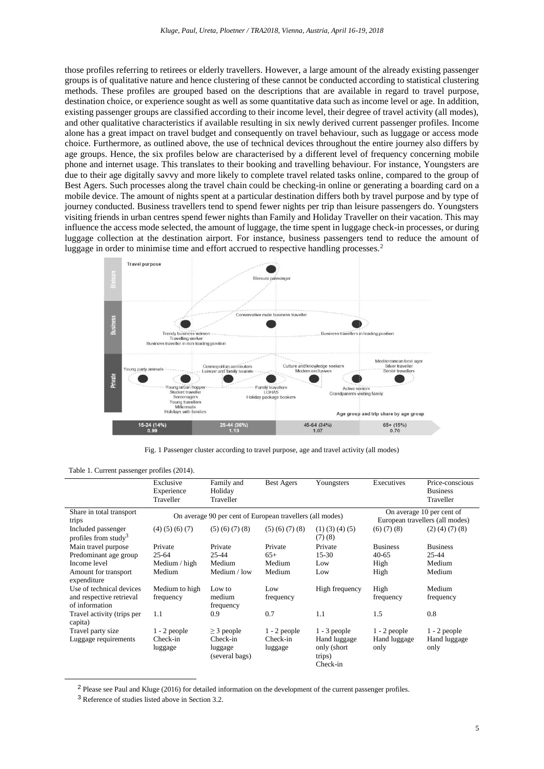those profiles referring to retirees or elderly travellers. However, a large amount of the already existing passenger groups is of qualitative nature and hence clustering of these cannot be conducted according to statistical clustering methods. These profiles are grouped based on the descriptions that are available in regard to travel purpose, destination choice, or experience sought as well as some quantitative data such as income level or age. In addition, existing passenger groups are classified according to their income level, their degree of travel activity (all modes), and other qualitative characteristics if available resulting in six newly derived current passenger profiles. Income alone has a great impact on travel budget and consequently on travel behaviour, such as luggage or access mode choice. Furthermore, as outlined above, the use of technical devices throughout the entire journey also differs by age groups. Hence, the six profiles below are characterised by a different level of frequency concerning mobile phone and internet usage. This translates to their booking and travelling behaviour. For instance, Youngsters are due to their age digitally savvy and more likely to complete travel related tasks online, compared to the group of Best Agers. Such processes along the travel chain could be checking-in online or generating a boarding card on a mobile device. The amount of nights spent at a particular destination differs both by travel purpose and by type of journey conducted. Business travellers tend to spend fewer nights per trip than leisure passengers do. Youngsters visiting friends in urban centres spend fewer nights than Family and Holiday Traveller on their vacation. This may influence the access mode selected, the amount of luggage, the time spent in luggage check-in processes, or during luggage collection at the destination airport. For instance, business passengers tend to reduce the amount of luggage in order to minimise time and effort accrued to respective handling processes.<sup>2</sup>



Fig. 1 Passenger cluster according to travel purpose, age and travel activity (all modes)

|  |  | Table 1. Current passenger profiles (2014). |  |  |
|--|--|---------------------------------------------|--|--|
|--|--|---------------------------------------------|--|--|

|                                                        | Exclusive<br>Experience<br>Traveller | Family and<br>Holiday<br>Traveller                        | <b>Best Agers</b>                                            | Youngsters                                         | Executives           | Price-conscious<br><b>Business</b><br>Traveller |
|--------------------------------------------------------|--------------------------------------|-----------------------------------------------------------|--------------------------------------------------------------|----------------------------------------------------|----------------------|-------------------------------------------------|
| Share in total transport<br>trips                      |                                      | On average 90 per cent of European travellers (all modes) | On average 10 per cent of<br>European travellers (all modes) |                                                    |                      |                                                 |
| Included passenger<br>profiles from study <sup>3</sup> | $(4)$ $(5)$ $(6)$ $(7)$              | $(5)$ $(6)$ $(7)$ $(8)$                                   | $(5)$ $(6)$ $(7)$ $(8)$                                      | $(1)$ $(3)$ $(4)$ $(5)$<br>(7)(8)                  | (6)(7)(8)            | $(2)$ (4) (7) (8)                               |
| Main travel purpose                                    | Private                              | Private                                                   | Private                                                      | Private                                            | <b>Business</b>      | <b>Business</b>                                 |
| Predominant age group                                  | $25 - 64$                            | 25-44                                                     | $65+$                                                        | $15-30$                                            | $40 - 65$            | $25 - 44$                                       |
| Income level                                           | Medium $/$ high                      | Medium                                                    | Medium                                                       | Low                                                | High                 | Medium                                          |
| Amount for transport<br>expenditure                    | Medium                               | Medium / low                                              | Medium                                                       | Low                                                | High                 | Medium                                          |
| Use of technical devices                               | Medium to high                       | Low to                                                    | Low                                                          | High frequency                                     | High                 | Medium                                          |
| and respective retrieval<br>of information             | frequency                            | medium<br>frequency                                       | frequency                                                    |                                                    | frequency            | frequency                                       |
| Travel activity (trips per<br>capita)                  | 1.1                                  | 0.9                                                       | 0.7                                                          | 1.1                                                | 1.5                  | 0.8                                             |
| Travel party size                                      | $1 - 2$ people                       | $\geq$ 3 people                                           | $1 - 2$ people                                               | $1 - 3$ people                                     | $1 - 2$ people       | $1 - 2$ people                                  |
| Luggage requirements                                   | Check-in<br>luggage                  | Check-in<br>luggage<br>(several bags)                     | Check-in<br>luggage                                          | Hand luggage<br>only (short)<br>trips)<br>Check-in | Hand luggage<br>only | Hand luggage<br>only                            |

<sup>&</sup>lt;sup>2</sup> Please see Paul and Kluge (2016) for detailed information on the development of the current passenger profiles.

 $\overline{a}$ 

<sup>3</sup> Reference of studies listed above in Section 3.2.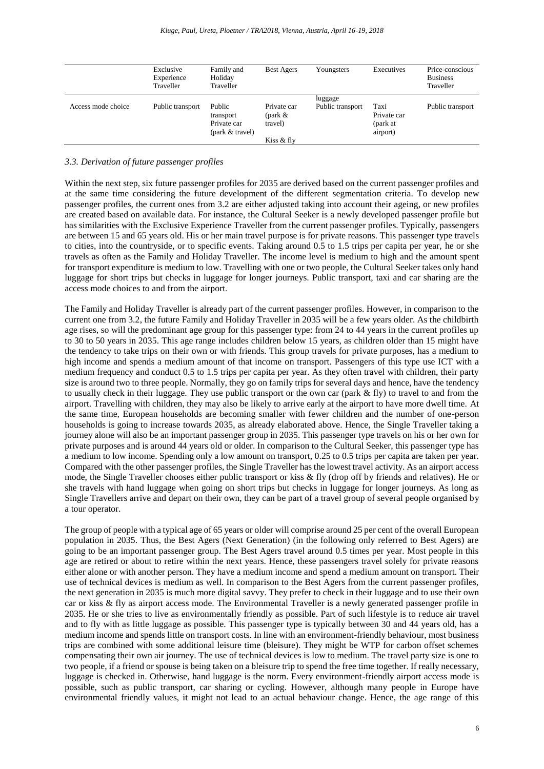|                    | Exclusive<br>Experience<br>Traveller | Family and<br>Holiday<br>Traveller                    | <b>Best Agers</b>                                  | Youngsters                  | Executives                                  | Price-conscious<br><b>Business</b><br>Traveller |
|--------------------|--------------------------------------|-------------------------------------------------------|----------------------------------------------------|-----------------------------|---------------------------------------------|-------------------------------------------------|
| Access mode choice | Public transport                     | Public<br>transport<br>Private car<br>(park & travel) | Private car<br>(park $\&$<br>travel)<br>Kiss & fly | luggage<br>Public transport | Taxi<br>Private car<br>(park at<br>airport) | Public transport                                |

# *3.3. Derivation of future passenger profiles*

Within the next step, six future passenger profiles for 2035 are derived based on the current passenger profiles and at the same time considering the future development of the different segmentation criteria. To develop new passenger profiles, the current ones from 3.2 are either adjusted taking into account their ageing, or new profiles are created based on available data. For instance, the Cultural Seeker is a newly developed passenger profile but has similarities with the Exclusive Experience Traveller from the current passenger profiles. Typically, passengers are between 15 and 65 years old. His or her main travel purpose is for private reasons. This passenger type travels to cities, into the countryside, or to specific events. Taking around 0.5 to 1.5 trips per capita per year, he or she travels as often as the Family and Holiday Traveller. The income level is medium to high and the amount spent for transport expenditure is medium to low. Travelling with one or two people, the Cultural Seeker takes only hand luggage for short trips but checks in luggage for longer journeys. Public transport, taxi and car sharing are the access mode choices to and from the airport.

The Family and Holiday Traveller is already part of the current passenger profiles. However, in comparison to the current one from 3.2, the future Family and Holiday Traveller in 2035 will be a few years older. As the childbirth age rises, so will the predominant age group for this passenger type: from 24 to 44 years in the current profiles up to 30 to 50 years in 2035. This age range includes children below 15 years, as children older than 15 might have the tendency to take trips on their own or with friends. This group travels for private purposes, has a medium to high income and spends a medium amount of that income on transport. Passengers of this type use ICT with a medium frequency and conduct 0.5 to 1.5 trips per capita per year. As they often travel with children, their party size is around two to three people. Normally, they go on family trips for several days and hence, have the tendency to usually check in their luggage. They use public transport or the own car (park & fly) to travel to and from the airport. Travelling with children, they may also be likely to arrive early at the airport to have more dwell time. At the same time, European households are becoming smaller with fewer children and the number of one-person households is going to increase towards 2035, as already elaborated above. Hence, the Single Traveller taking a journey alone will also be an important passenger group in 2035. This passenger type travels on his or her own for private purposes and is around 44 years old or older. In comparison to the Cultural Seeker, this passenger type has a medium to low income. Spending only a low amount on transport, 0.25 to 0.5 trips per capita are taken per year. Compared with the other passenger profiles, the Single Traveller has the lowest travel activity. As an airport access mode, the Single Traveller chooses either public transport or kiss & fly (drop off by friends and relatives). He or she travels with hand luggage when going on short trips but checks in luggage for longer journeys. As long as Single Travellers arrive and depart on their own, they can be part of a travel group of several people organised by a tour operator.

The group of people with a typical age of 65 years or older will comprise around 25 per cent of the overall European population in 2035. Thus, the Best Agers (Next Generation) (in the following only referred to Best Agers) are going to be an important passenger group. The Best Agers travel around 0.5 times per year. Most people in this age are retired or about to retire within the next years. Hence, these passengers travel solely for private reasons either alone or with another person. They have a medium income and spend a medium amount on transport. Their use of technical devices is medium as well. In comparison to the Best Agers from the current passenger profiles, the next generation in 2035 is much more digital savvy. They prefer to check in their luggage and to use their own car or kiss & fly as airport access mode. The Environmental Traveller is a newly generated passenger profile in 2035. He or she tries to live as environmentally friendly as possible. Part of such lifestyle is to reduce air travel and to fly with as little luggage as possible. This passenger type is typically between 30 and 44 years old, has a medium income and spends little on transport costs. In line with an environment-friendly behaviour, most business trips are combined with some additional leisure time (bleisure). They might be WTP for carbon offset schemes compensating their own air journey. The use of technical devices is low to medium. The travel party size is one to two people, if a friend or spouse is being taken on a bleisure trip to spend the free time together. If really necessary, luggage is checked in. Otherwise, hand luggage is the norm. Every environment-friendly airport access mode is possible, such as public transport, car sharing or cycling. However, although many people in Europe have environmental friendly values, it might not lead to an actual behaviour change. Hence, the age range of this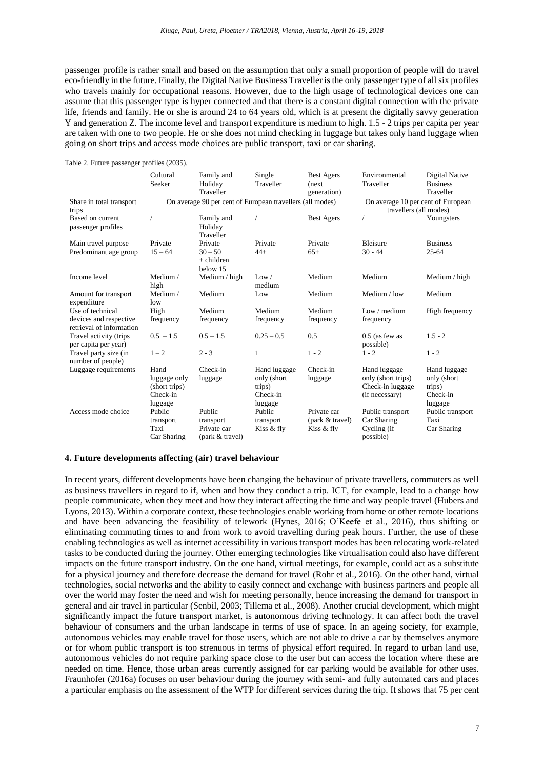passenger profile is rather small and based on the assumption that only a small proportion of people will do travel eco-friendly in the future. Finally, the Digital Native Business Traveller is the only passenger type of all six profiles who travels mainly for occupational reasons. However, due to the high usage of technological devices one can assume that this passenger type is hyper connected and that there is a constant digital connection with the private life, friends and family. He or she is around 24 to 64 years old, which is at present the digitally savvy generation Y and generation Z. The income level and transport expenditure is medium to high. 1.5 - 2 trips per capita per year are taken with one to two people. He or she does not mind checking in luggage but takes only hand luggage when going on short trips and access mode choices are public transport, taxi or car sharing.

Table 2. Future passenger profiles (2035).

|                                                                                       | Cultural                                                     | Family and                                            | Single                                                        | <b>Best Agers</b>                                     | Environmental                                                            | Digital Native                                               |  |
|---------------------------------------------------------------------------------------|--------------------------------------------------------------|-------------------------------------------------------|---------------------------------------------------------------|-------------------------------------------------------|--------------------------------------------------------------------------|--------------------------------------------------------------|--|
|                                                                                       | Seeker                                                       | Holiday                                               | Traveller                                                     | (next)                                                | Traveller                                                                | <b>Business</b>                                              |  |
|                                                                                       |                                                              | Traveller                                             |                                                               | generation)                                           |                                                                          | Traveller                                                    |  |
| On average 90 per cent of European travellers (all modes)<br>Share in total transport |                                                              |                                                       |                                                               |                                                       |                                                                          | On average 10 per cent of European                           |  |
| trips                                                                                 |                                                              |                                                       |                                                               |                                                       | travellers (all modes)                                                   |                                                              |  |
| Based on current<br>passenger profiles                                                |                                                              | Family and<br>Holiday<br>Traveller                    |                                                               | <b>Best Agers</b>                                     |                                                                          | Youngsters                                                   |  |
| Main travel purpose                                                                   | Private                                                      | Private                                               | Private                                                       | Private                                               | <b>Bleisure</b>                                                          | <b>Business</b>                                              |  |
| Predominant age group                                                                 | $15 - 64$                                                    | $30 - 50$<br>$+$ children<br>below 15                 | $44+$                                                         | $65+$                                                 | $30 - 44$                                                                | $25 - 64$                                                    |  |
| Income level                                                                          | Medium /<br>high                                             | Medium / high                                         | Low /<br>medium                                               | Medium                                                | Medium                                                                   | Medium / high                                                |  |
| Amount for transport<br>expenditure                                                   | Medium /<br>low                                              | Medium                                                | Low                                                           | Medium                                                | Medium / low                                                             | Medium                                                       |  |
| Use of technical                                                                      | High                                                         | Medium                                                | Medium                                                        | Medium                                                | Low / medium                                                             | High frequency                                               |  |
| devices and respective<br>retrieval of information                                    | frequency                                                    | frequency                                             | frequency                                                     | frequency                                             | frequency                                                                |                                                              |  |
| Travel activity (trips<br>per capita per year)                                        | $0.5 - 1.5$                                                  | $0.5 - 1.5$                                           | $0.25 - 0.5$                                                  | 0.5                                                   | $0.5$ (as few as<br>possible)                                            | $1.5 - 2$                                                    |  |
| Travel party size (in<br>number of people)                                            | $1 - 2$                                                      | $2 - 3$                                               | 1                                                             | $1 - 2$                                               | $1 - 2$                                                                  | $1 - 2$                                                      |  |
| Luggage requirements                                                                  | Hand<br>luggage only<br>(short trips)<br>Check-in<br>luggage | Check-in<br>luggage                                   | Hand luggage<br>only (short)<br>trips)<br>Check-in<br>luggage | Check-in<br>luggage                                   | Hand luggage<br>only (short trips)<br>Check-in luggage<br>(if necessary) | Hand luggage<br>only (short<br>trips)<br>Check-in<br>luggage |  |
| Access mode choice                                                                    | Public<br>transport<br>Taxi<br>Car Sharing                   | Public<br>transport<br>Private car<br>(park & travel) | Public<br>transport<br>Kiss & fly                             | Private car<br>${\rm (park \& travel)}$<br>Kiss & fly | Public transport<br>Car Sharing<br>Cycling (if<br>possible)              | Public transport<br>Taxi<br>Car Sharing                      |  |

#### **4. Future developments affecting (air) travel behaviour**

In recent years, different developments have been changing the behaviour of private travellers, commuters as well as business travellers in regard to if, when and how they conduct a trip. ICT, for example, lead to a change how people communicate, when they meet and how they interact affecting the time and way people travel (Hubers and Lyons, 2013). Within a corporate context, these technologies enable working from home or other remote locations and have been advancing the feasibility of telework (Hynes, 2016; O'Keefe et al., 2016), thus shifting or eliminating commuting times to and from work to avoid travelling during peak hours. Further, the use of these enabling technologies as well as internet accessibility in various transport modes has been relocating work-related tasks to be conducted during the journey. Other emerging technologies like virtualisation could also have different impacts on the future transport industry. On the one hand, virtual meetings, for example, could act as a substitute for a physical journey and therefore decrease the demand for travel (Rohr et al., 2016). On the other hand, virtual technologies, social networks and the ability to easily connect and exchange with business partners and people all over the world may foster the need and wish for meeting personally, hence increasing the demand for transport in general and air travel in particular (Senbil, 2003; Tillema et al., 2008). Another crucial development, which might significantly impact the future transport market, is autonomous driving technology. It can affect both the travel behaviour of consumers and the urban landscape in terms of use of space. In an ageing society, for example, autonomous vehicles may enable travel for those users, which are not able to drive a car by themselves anymore or for whom public transport is too strenuous in terms of physical effort required. In regard to urban land use, autonomous vehicles do not require parking space close to the user but can access the location where these are needed on time. Hence, those urban areas currently assigned for car parking would be available for other uses. Fraunhofer (2016a) focuses on user behaviour during the journey with semi- and fully automated cars and places a particular emphasis on the assessment of the WTP for different services during the trip. It shows that 75 per cent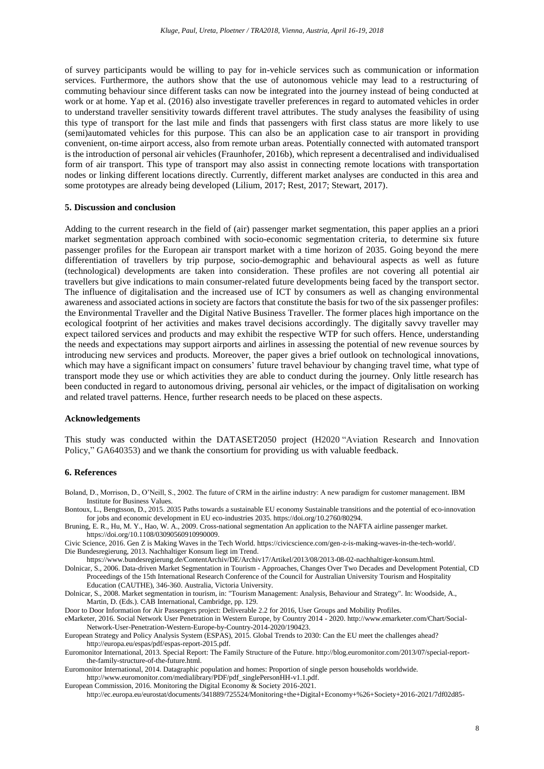of survey participants would be willing to pay for in-vehicle services such as communication or information services. Furthermore, the authors show that the use of autonomous vehicle may lead to a restructuring of commuting behaviour since different tasks can now be integrated into the journey instead of being conducted at work or at home. Yap et al. (2016) also investigate traveller preferences in regard to automated vehicles in order to understand traveller sensitivity towards different travel attributes. The study analyses the feasibility of using this type of transport for the last mile and finds that passengers with first class status are more likely to use (semi)automated vehicles for this purpose. This can also be an application case to air transport in providing convenient, on-time airport access, also from remote urban areas. Potentially connected with automated transport is the introduction of personal air vehicles (Fraunhofer, 2016b), which represent a decentralised and individualised form of air transport. This type of transport may also assist in connecting remote locations with transportation nodes or linking different locations directly. Currently, different market analyses are conducted in this area and some prototypes are already being developed (Lilium, 2017; Rest, 2017; Stewart, 2017).

#### **5. Discussion and conclusion**

Adding to the current research in the field of (air) passenger market segmentation, this paper applies an a priori market segmentation approach combined with socio-economic segmentation criteria, to determine six future passenger profiles for the European air transport market with a time horizon of 2035. Going beyond the mere differentiation of travellers by trip purpose, socio-demographic and behavioural aspects as well as future (technological) developments are taken into consideration. These profiles are not covering all potential air travellers but give indications to main consumer-related future developments being faced by the transport sector. The influence of digitalisation and the increased use of ICT by consumers as well as changing environmental awareness and associated actions in society are factors that constitute the basis for two of the six passenger profiles: the Environmental Traveller and the Digital Native Business Traveller. The former places high importance on the ecological footprint of her activities and makes travel decisions accordingly. The digitally savvy traveller may expect tailored services and products and may exhibit the respective WTP for such offers. Hence, understanding the needs and expectations may support airports and airlines in assessing the potential of new revenue sources by introducing new services and products. Moreover, the paper gives a brief outlook on technological innovations, which may have a significant impact on consumers' future travel behaviour by changing travel time, what type of transport mode they use or which activities they are able to conduct during the journey. Only little research has been conducted in regard to autonomous driving, personal air vehicles, or the impact of digitalisation on working and related travel patterns. Hence, further research needs to be placed on these aspects.

#### **Acknowledgements**

This study was conducted within the DATASET2050 project (H2020 "Aviation Research and Innovation Policy," GA640353) and we thank the consortium for providing us with valuable feedback.

# **6. References**

- Boland, D., Morrison, D., O'Neill, S., 2002. The future of CRM in the airline industry: A new paradigm for customer management. IBM Institute for Business Values.
- Bontoux, L., Bengtsson, D., 2015. 2035 Paths towards a sustainable EU economy Sustainable transitions and the potential of eco-innovation for jobs and economic development in EU eco-industries 2035. https://doi.org/10.2760/80294.
- Bruning, E. R., Hu, M. Y., Hao, W. A., 2009. Cross-national segmentation An application to the NAFTA airline passenger market. https://doi.org/10.1108/03090560910990009.

Civic Science, 2016. Gen Z is Making Waves in the Tech World. https://civicscience.com/gen-z-is-making-waves-in-the-tech-world/. Die Bundesregierung, 2013. Nachhaltiger Konsum liegt im Trend.

https://www.bundesregierung.de/ContentArchiv/DE/Archiv17/Artikel/2013/08/2013-08-02-nachhaltiger-konsum.html.

Dolnicar, S., 2006. Data-driven Market Segmentation in Tourism - Approaches, Changes Over Two Decades and Development Potential, CD Proceedings of the 15th International Research Conference of the Council for Australian University Tourism and Hospitality Education (CAUTHE), 346-360. Australia, Victoria University.

Dolnicar, S., 2008. Market segmentation in tourism, in: "Tourism Management: Analysis, Behaviour and Strategy". In: Woodside, A., Martin, D. (Eds.). CAB International, Cambridge, pp. 129.

Door to Door Information for Air Passengers project: Deliverable 2.2 for 2016, User Groups and Mobility Profiles.

eMarketer, 2016. Social Network User Penetration in Western Europe, by Country 2014 - 2020. http://www.emarketer.com/Chart/Social-Network-User-Penetration-Western-Europe-by-Country-2014-2020/190423.

European Strategy and Policy Analysis System (ESPAS), 2015. Global Trends to 2030: Can the EU meet the challenges ahead? http://europa.eu/espas/pdf/espas-report-2015.pdf.

Euromonitor International, 2013. Special Report: The Family Structure of the Future. http://blog.euromonitor.com/2013/07/special-reportthe-family-structure-of-the-future.html.

Euromonitor International, 2014. Datagraphic population and homes: Proportion of single person households worldwide.

http://www.euromonitor.com/medialibrary/PDF/pdf\_singlePersonHH-v1.1.pdf. European Commission, 2016. Monitoring the Digital Economy & Society 2016-2021.

http://ec.europa.eu/eurostat/documents/341889/725524/Monitoring+the+Digital+Economy+%26+Society+2016-2021/7df02d85-